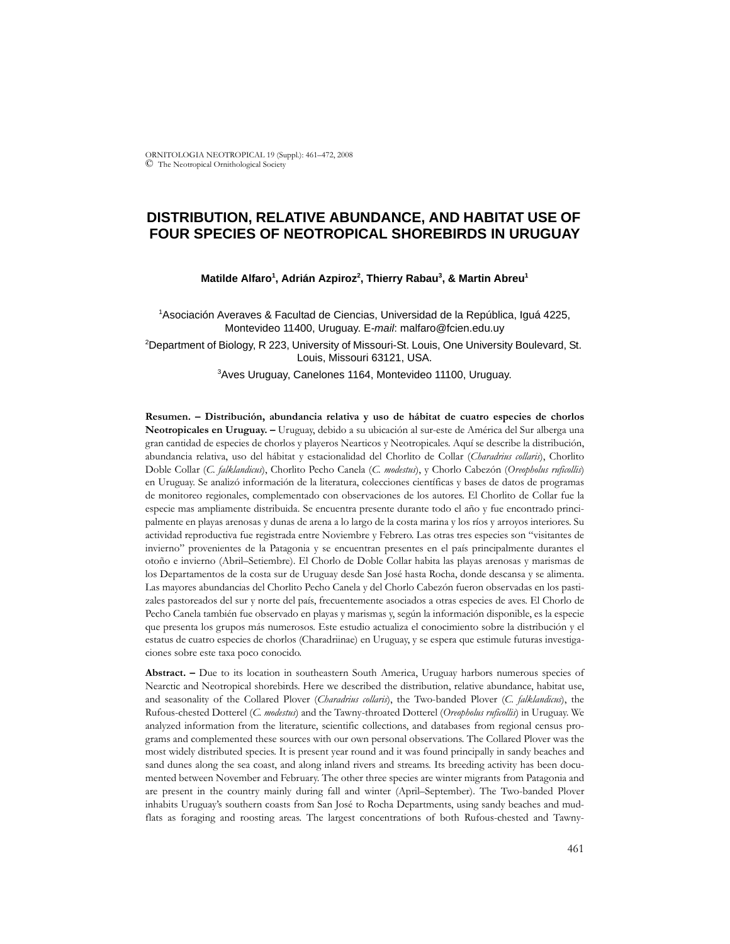ORNITOLOGIA NEOTROPICAL 19 (Suppl.): 461–472, 2008 © The Neotropical Ornithological Society

# **DISTRIBUTION, RELATIVE ABUNDANCE, AND HABITAT USE OF FOUR SPECIES OF NEOTROPICAL SHOREBIRDS IN URUGUAY**

### Matilde Alfaro<sup>1</sup>, Adrián Azpiroz<sup>2</sup>, Thierry Rabau<sup>3</sup>, & Martin Abreu<sup>1</sup>

1 Asociación Averaves & Facultad de Ciencias, Universidad de la República, Iguá 4225, Montevideo 11400, Uruguay. E*-mail*: malfaro@fcien.edu.uy

2 Department of Biology, R 223, University of Missouri-St. Louis, One University Boulevard, St. Louis, Missouri 63121, USA.

3 Aves Uruguay, Canelones 1164, Montevideo 11100, Uruguay.

**Resumen. – Distribución, abundancia relativa y uso de hábitat de cuatro especies de chorlos Neotropicales en Uruguay. –** Uruguay, debido a su ubicación al sur-este de América del Sur alberga una gran cantidad de especies de chorlos y playeros Nearticos y Neotropicales. Aquí se describe la distribución, abundancia relativa, uso del hábitat y estacionalidad del Chorlito de Collar (*Charadrius collaris*), Chorlito Doble Collar (*C. falklandicus*), Chorlito Pecho Canela (*C. modestus*), y Chorlo Cabezón (*Oreopholus ruficollis*) en Uruguay. Se analizó información de la literatura, colecciones científicas y bases de datos de programas de monitoreo regionales, complementado con observaciones de los autores. El Chorlito de Collar fue la especie mas ampliamente distribuida. Se encuentra presente durante todo el año y fue encontrado principalmente en playas arenosas y dunas de arena a lo largo de la costa marina y los ríos y arroyos interiores. Su actividad reproductiva fue registrada entre Noviembre y Febrero. Las otras tres especies son "visitantes de invierno" provenientes de la Patagonia y se encuentran presentes en el país principalmente durantes el otoño e invierno (Abril–Setiembre). El Chorlo de Doble Collar habita las playas arenosas y marismas de los Departamentos de la costa sur de Uruguay desde San José hasta Rocha, donde descansa y se alimenta. Las mayores abundancias del Chorlito Pecho Canela y del Chorlo Cabezón fueron observadas en los pastizales pastoreados del sur y norte del país, frecuentemente asociados a otras especies de aves. El Chorlo de Pecho Canela también fue observado en playas y marismas y, según la información disponible, es la especie que presenta los grupos más numerosos. Este estudio actualiza el conocimiento sobre la distribución y el estatus de cuatro especies de chorlos (Charadriinae) en Uruguay, y se espera que estimule futuras investigaciones sobre este taxa poco conocido.

**Abstract. –** Due to its location in southeastern South America, Uruguay harbors numerous species of Nearctic and Neotropical shorebirds. Here we described the distribution, relative abundance, habitat use, and seasonality of the Collared Plover (*Charadrius collaris*), the Two-banded Plover (*C. falklandicus*), the Rufous-chested Dotterel (*C. modestus*) and the Tawny-throated Dotterel (*Oreopholus ruficollis*) in Uruguay. We analyzed information from the literature, scientific collections, and databases from regional census programs and complemented these sources with our own personal observations. The Collared Plover was the most widely distributed species. It is present year round and it was found principally in sandy beaches and sand dunes along the sea coast, and along inland rivers and streams. Its breeding activity has been documented between November and February. The other three species are winter migrants from Patagonia and are present in the country mainly during fall and winter (April–September). The Two-banded Plover inhabits Uruguay's southern coasts from San José to Rocha Departments, using sandy beaches and mudflats as foraging and roosting areas. The largest concentrations of both Rufous-chested and Tawny-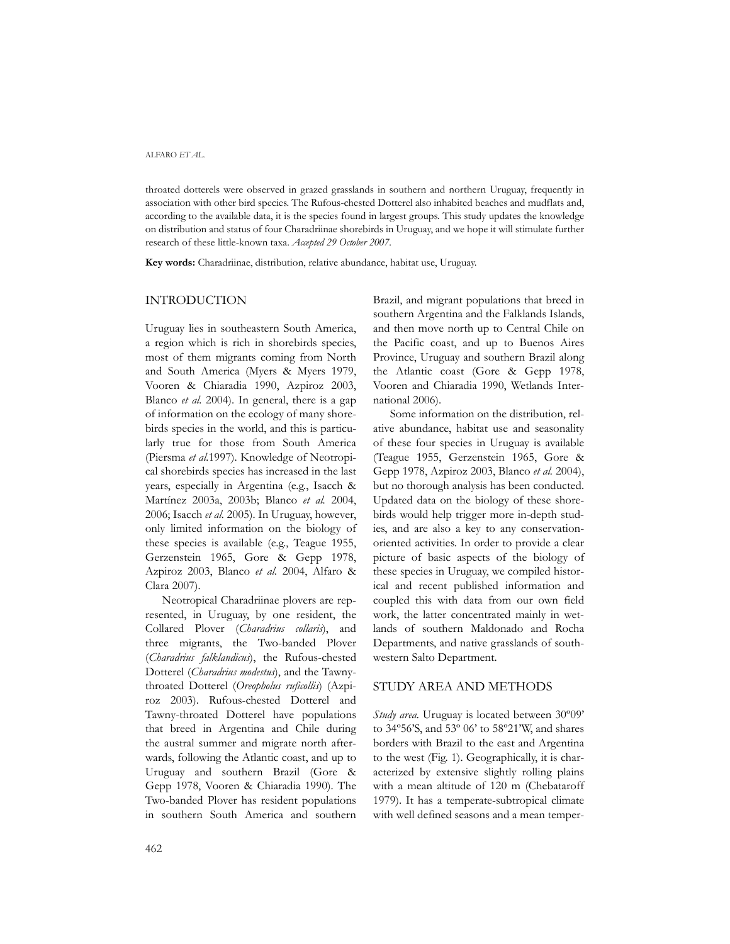#### ALFARO *ET AL.*

throated dotterels were observed in grazed grasslands in southern and northern Uruguay, frequently in association with other bird species. The Rufous-chested Dotterel also inhabited beaches and mudflats and, according to the available data, it is the species found in largest groups. This study updates the knowledge on distribution and status of four Charadriinae shorebirds in Uruguay, and we hope it will stimulate further research of these little-known taxa. *Accepted 29 October 2007.*

**Key words:** Charadriinae, distribution, relative abundance, habitat use, Uruguay.

## INTRODUCTION

Uruguay lies in southeastern South America, a region which is rich in shorebirds species, most of them migrants coming from North and South America (Myers & Myers 1979, Vooren & Chiaradia 1990, Azpiroz 2003, Blanco *et al.* 2004). In general, there is a gap of information on the ecology of many shorebirds species in the world, and this is particularly true for those from South America (Piersma *et al.*1997). Knowledge of Neotropical shorebirds species has increased in the last years, especially in Argentina (e.g., Isacch & Martínez 2003a, 2003b; Blanco *et al.* 2004, 2006; Isacch *et al.* 2005). In Uruguay, however, only limited information on the biology of these species is available (e.g., Teague 1955, Gerzenstein 1965, Gore & Gepp 1978, Azpiroz 2003, Blanco *et al.* 2004, Alfaro & Clara 2007).

Neotropical Charadriinae plovers are represented, in Uruguay, by one resident, the Collared Plover (*Charadrius collaris*), and three migrants, the Two-banded Plover (*Charadrius falklandicus*), the Rufous-chested Dotterel (*Charadrius modestus*), and the Tawnythroated Dotterel (*Oreopholus ruficollis*) (Azpiroz 2003). Rufous-chested Dotterel and Tawny-throated Dotterel have populations that breed in Argentina and Chile during the austral summer and migrate north afterwards, following the Atlantic coast, and up to Uruguay and southern Brazil (Gore & Gepp 1978, Vooren & Chiaradia 1990). The Two-banded Plover has resident populations in southern South America and southern

Brazil, and migrant populations that breed in southern Argentina and the Falklands Islands, and then move north up to Central Chile on the Pacific coast, and up to Buenos Aires Province, Uruguay and southern Brazil along the Atlantic coast (Gore & Gepp 1978, Vooren and Chiaradia 1990, Wetlands International 2006).

Some information on the distribution, relative abundance, habitat use and seasonality of these four species in Uruguay is available (Teague 1955, Gerzenstein 1965, Gore & Gepp 1978, Azpiroz 2003, Blanco *et al.* 2004), but no thorough analysis has been conducted. Updated data on the biology of these shorebirds would help trigger more in-depth studies, and are also a key to any conservationoriented activities. In order to provide a clear picture of basic aspects of the biology of these species in Uruguay, we compiled historical and recent published information and coupled this with data from our own field work, the latter concentrated mainly in wetlands of southern Maldonado and Rocha Departments, and native grasslands of southwestern Salto Department.

### STUDY AREA AND METHODS

*Study area.* Uruguay is located between 30º09' to 34º56'S, and 53º 06' to 58º21'W, and shares borders with Brazil to the east and Argentina to the west (Fig. 1). Geographically, it is characterized by extensive slightly rolling plains with a mean altitude of 120 m (Chebataroff 1979). It has a temperate-subtropical climate with well defined seasons and a mean temper-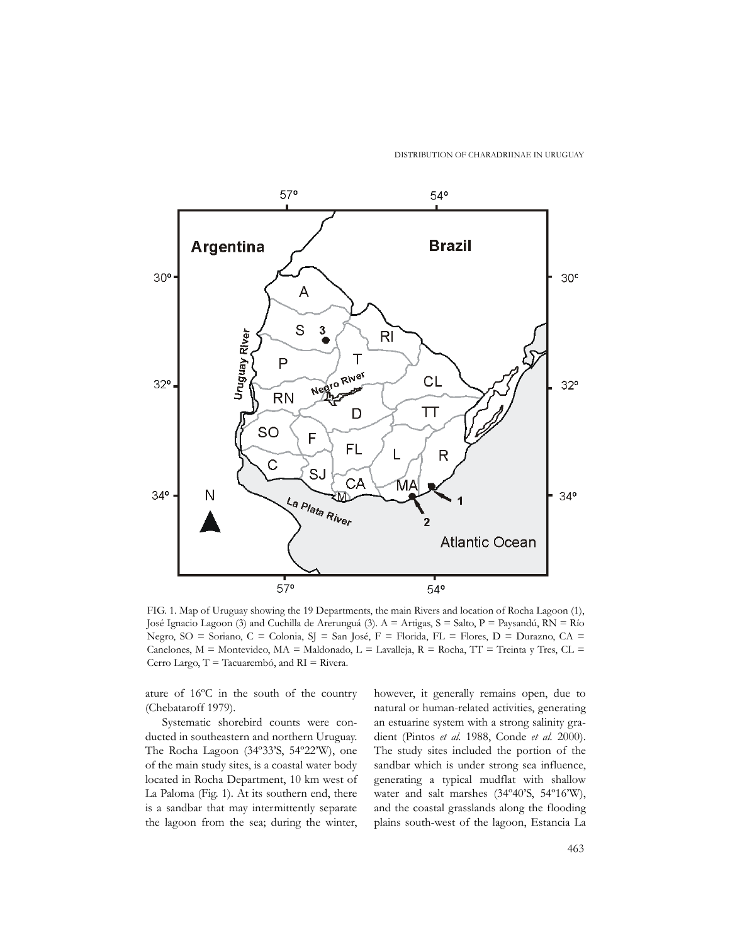DISTRIBUTION OF CHARADRIINAE IN URUGUAY



FIG. 1. Map of Uruguay showing the 19 Departments, the main Rivers and location of Rocha Lagoon (1), José Ignacio Lagoon (3) and Cuchilla de Arerunguá (3). A = Artigas, S = Salto, P = Paysandú, RN = Río Negro, SO = Soriano, C = Colonia, SJ = San José, F = Florida, FL = Flores, D = Durazno, CA = Canelones, M = Montevideo, MA = Maldonado, L = Lavalleja, R = Rocha, TT = Treinta y Tres, CL = Cerro Largo, T = Tacuarembó, and RI = Rivera.

ature of 16ºC in the south of the country (Chebataroff 1979).

Systematic shorebird counts were conducted in southeastern and northern Uruguay. The Rocha Lagoon (34º33'S, 54º22'W), one of the main study sites, is a coastal water body located in Rocha Department, 10 km west of La Paloma (Fig. 1). At its southern end, there is a sandbar that may intermittently separate the lagoon from the sea; during the winter, however, it generally remains open, due to natural or human-related activities, generating an estuarine system with a strong salinity gradient (Pintos *et al.* 1988, Conde *et al.* 2000). The study sites included the portion of the sandbar which is under strong sea influence, generating a typical mudflat with shallow water and salt marshes (34º40'S, 54º16'W), and the coastal grasslands along the flooding plains south-west of the lagoon, Estancia La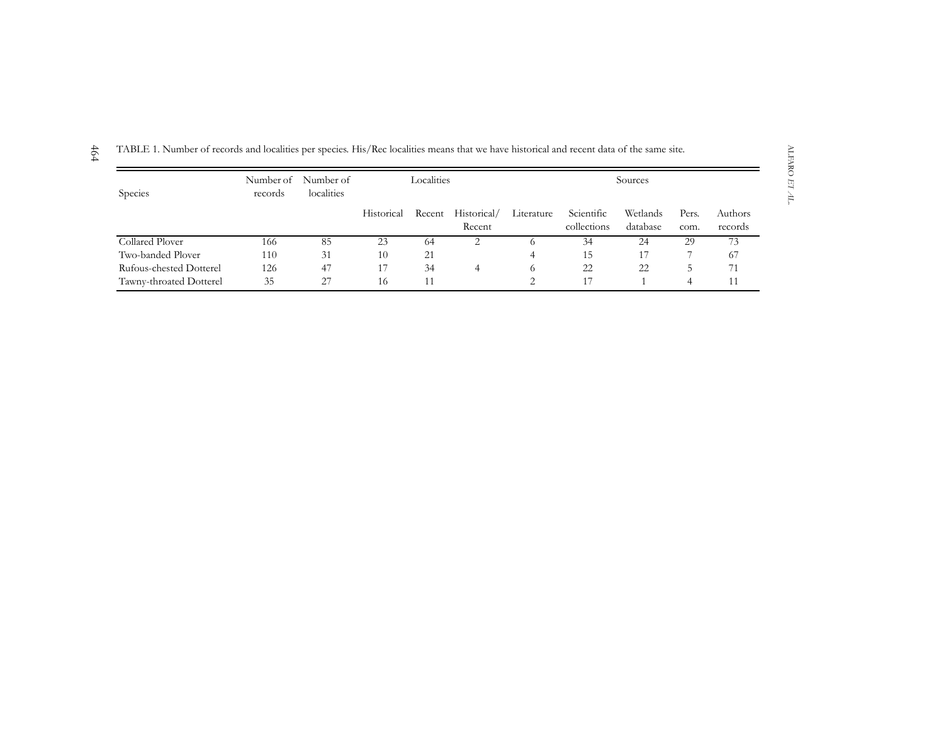| Species                 | records | Number of Number of<br>localities | Localities |        |                       | Sources    |                           |                      |               |                    |
|-------------------------|---------|-----------------------------------|------------|--------|-----------------------|------------|---------------------------|----------------------|---------------|--------------------|
|                         |         |                                   | Historical | Recent | Historical/<br>Recent | Literature | Scientific<br>collections | Wetlands<br>database | Pers.<br>com. | Authors<br>records |
| Collared Plover         | 166     | 85                                | 23         | 64     | 2                     | $\sigma$   | 34                        | 24                   | 29            | 73                 |
| Two-banded Plover       | 110     | 31                                | 10         | 21     |                       | 4          | 15                        |                      |               | 67                 |
| Rufous-chested Dotterel | 126     | 47                                | 17         | 34     | 4                     | 6          | 22                        | 22                   | C.            | 71                 |
| Tawny-throated Dotterel | 35      | 27                                | 16         | 11     |                       | っ          |                           |                      | 4             | 11                 |

TABLE 1. Number of records and localities per species. His/Rec localities means that we have historical and recent data of the same site.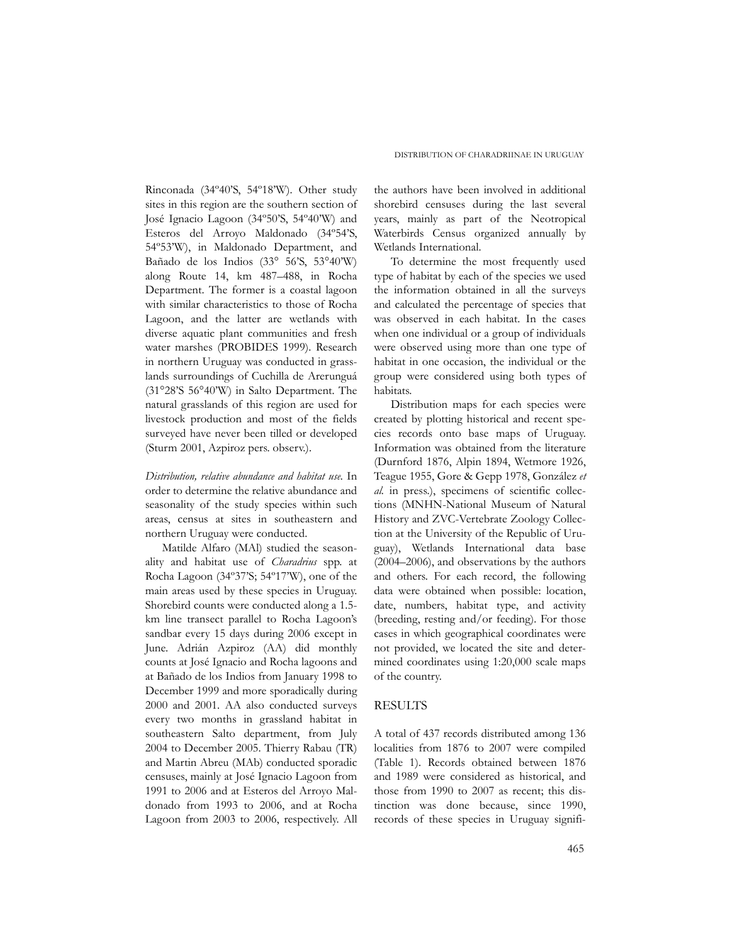Rinconada (34º40'S, 54º18'W). Other study sites in this region are the southern section of José Ignacio Lagoon (34º50'S, 54º40'W) and Esteros del Arroyo Maldonado (34º54'S, 54º53'W), in Maldonado Department, and Bañado de los Indios (33° 56'S, 53°40'W) along Route 14, km 487–488, in Rocha Department. The former is a coastal lagoon with similar characteristics to those of Rocha Lagoon, and the latter are wetlands with diverse aquatic plant communities and fresh water marshes (PROBIDES 1999). Research in northern Uruguay was conducted in grasslands surroundings of Cuchilla de Arerunguá (31°28'S 56°40'W) in Salto Department. The natural grasslands of this region are used for livestock production and most of the fields surveyed have never been tilled or developed (Sturm 2001, Azpiroz pers. observ.).

*Distribution, relative abundance and habitat use.* In order to determine the relative abundance and seasonality of the study species within such areas, census at sites in southeastern and northern Uruguay were conducted.

Matilde Alfaro (MAl) studied the seasonality and habitat use of *Charadrius* spp. at Rocha Lagoon (34º37'S; 54º17'W), one of the main areas used by these species in Uruguay. Shorebird counts were conducted along a 1.5 km line transect parallel to Rocha Lagoon's sandbar every 15 days during 2006 except in June. Adrián Azpiroz (AA) did monthly counts at José Ignacio and Rocha lagoons and at Bañado de los Indios from January 1998 to December 1999 and more sporadically during 2000 and 2001. AA also conducted surveys every two months in grassland habitat in southeastern Salto department, from July 2004 to December 2005. Thierry Rabau (TR) and Martin Abreu (MAb) conducted sporadic censuses, mainly at José Ignacio Lagoon from 1991 to 2006 and at Esteros del Arroyo Maldonado from 1993 to 2006, and at Rocha Lagoon from 2003 to 2006, respectively. All the authors have been involved in additional shorebird censuses during the last several years, mainly as part of the Neotropical Waterbirds Census organized annually by Wetlands International.

To determine the most frequently used type of habitat by each of the species we used the information obtained in all the surveys and calculated the percentage of species that was observed in each habitat. In the cases when one individual or a group of individuals were observed using more than one type of habitat in one occasion, the individual or the group were considered using both types of habitats.

Distribution maps for each species were created by plotting historical and recent species records onto base maps of Uruguay. Information was obtained from the literature (Durnford 1876, Alpin 1894, Wetmore 1926, Teague 1955, Gore & Gepp 1978, González *et al.* in press.), specimens of scientific collections (MNHN-National Museum of Natural History and ZVC-Vertebrate Zoology Collection at the University of the Republic of Uruguay), Wetlands International data base (2004–2006), and observations by the authors and others. For each record, the following data were obtained when possible: location, date, numbers, habitat type, and activity (breeding, resting and/or feeding). For those cases in which geographical coordinates were not provided, we located the site and determined coordinates using 1:20,000 scale maps of the country.

## RESULTS

A total of 437 records distributed among 136 localities from 1876 to 2007 were compiled (Table 1). Records obtained between 1876 and 1989 were considered as historical, and those from 1990 to 2007 as recent; this distinction was done because, since 1990, records of these species in Uruguay signifi-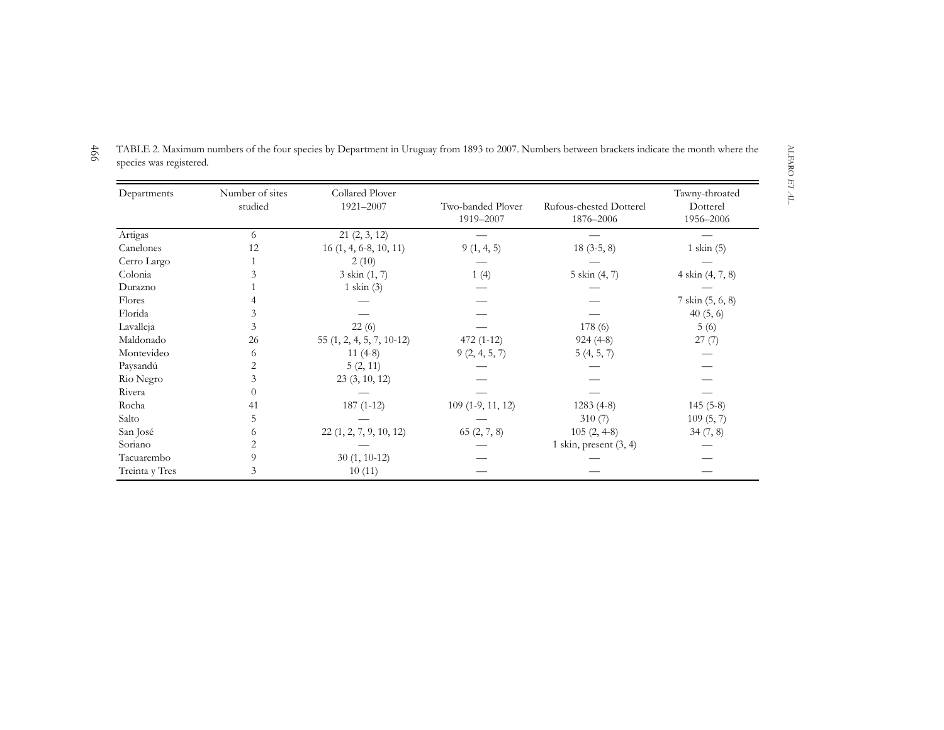| Departments    | Number of sites | Collared Plover            |                                |                                      | Tawny-throated        |  |  |
|----------------|-----------------|----------------------------|--------------------------------|--------------------------------------|-----------------------|--|--|
|                | studied         | 1921-2007                  | Two-banded Plover<br>1919-2007 | Rufous-chested Dotterel<br>1876-2006 | Dotterel<br>1956-2006 |  |  |
| Artigas        | 6               | 21(2, 3, 12)               |                                |                                      |                       |  |  |
| Canelones      | 12              | $16(1, 4, 6-8, 10, 11)$    | 9(1, 4, 5)                     | $18(3-5, 8)$                         | $1$ skin $(5)$        |  |  |
| Cerro Largo    |                 | 2(10)                      |                                |                                      |                       |  |  |
| Colonia        | 3               | $3 \sin(1, 7)$             | 1(4)                           | 5 skin (4, 7)                        | 4 skin (4, 7, 8)      |  |  |
| Durazno        |                 | $1$ skin $(3)$             |                                |                                      |                       |  |  |
| Flores         |                 |                            |                                |                                      | 7 skin (5, 6, 8)      |  |  |
| Florida        | 3               |                            |                                |                                      | 40(5, 6)              |  |  |
| Lavalleja      | 3               | 22(6)                      |                                | 178(6)                               | 5(6)                  |  |  |
| Maldonado      | 26              | $55(1, 2, 4, 5, 7, 10-12)$ | $472(1-12)$                    | $924(4-8)$                           | 27(7)                 |  |  |
| Montevideo     | 6               | $11(4-8)$                  | 9(2, 4, 5, 7)                  | 5(4, 5, 7)                           |                       |  |  |
| Paysandú       | 2               | 5(2, 11)                   |                                |                                      |                       |  |  |
| Rio Negro      | 3               | 23(3, 10, 12)              |                                |                                      |                       |  |  |
| Rivera         | 0               |                            |                                |                                      |                       |  |  |
| Rocha          | 41              | $187(1-12)$                | $109(1-9, 11, 12)$             | $1283(4-8)$                          | $145(5-8)$            |  |  |
| Salto          | 5               |                            |                                | 310(7)                               | 109(5, 7)             |  |  |
| San José       | 6               | 22(1, 2, 7, 9, 10, 12)     | 65(2, 7, 8)                    | $105(2, 4-8)$                        | 34(7, 8)              |  |  |
| Soriano        | 2               |                            |                                | 1 skin, present $(3, 4)$             |                       |  |  |
| Tacuarembo     | 9               | $30(1, 10-12)$             |                                |                                      |                       |  |  |
| Treinta y Tres | 3               | 10(11)                     |                                |                                      |                       |  |  |

4 6 6 TABLE 2. Maximum numbers of the four species by Department in Uruguay from 1893 to 2007. Numbers between brackets indicate the month where the species was registered.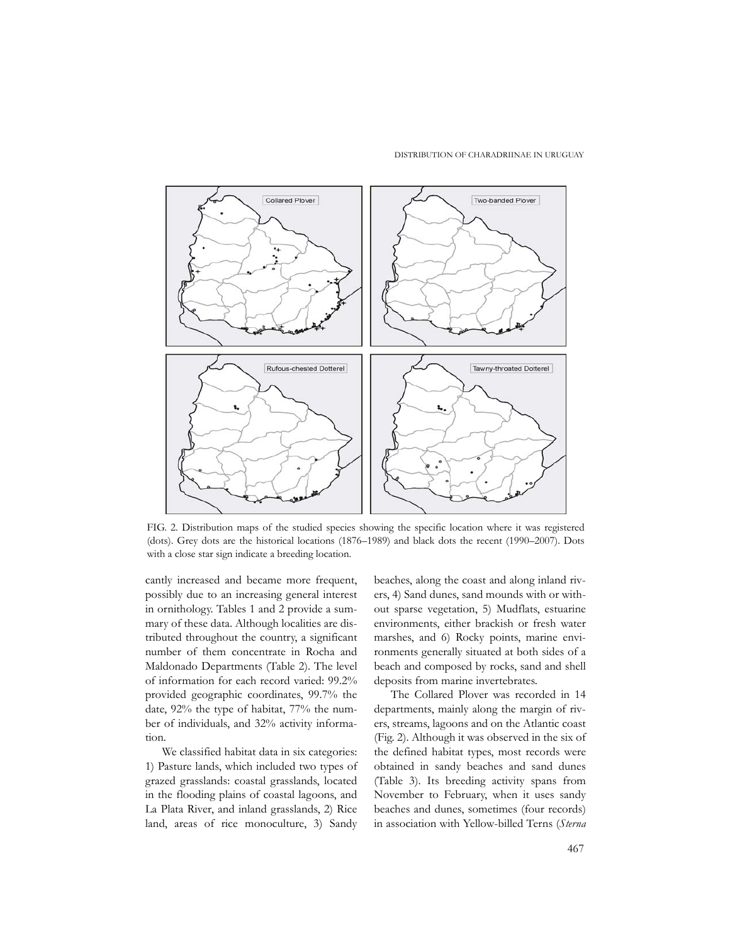#### DISTRIBUTION OF CHARADRIINAE IN URUGUAY



FIG. 2. Distribution maps of the studied species showing the specific location where it was registered (dots). Grey dots are the historical locations (1876–1989) and black dots the recent (1990–2007). Dots with a close star sign indicate a breeding location.

cantly increased and became more frequent, possibly due to an increasing general interest in ornithology. Tables 1 and 2 provide a summary of these data. Although localities are distributed throughout the country, a significant number of them concentrate in Rocha and Maldonado Departments (Table 2). The level of information for each record varied: 99.2% provided geographic coordinates, 99.7% the date, 92% the type of habitat, 77% the number of individuals, and 32% activity information.

We classified habitat data in six categories: 1) Pasture lands, which included two types of grazed grasslands: coastal grasslands, located in the flooding plains of coastal lagoons, and La Plata River, and inland grasslands, 2) Rice land, areas of rice monoculture, 3) Sandy beaches, along the coast and along inland rivers, 4) Sand dunes, sand mounds with or without sparse vegetation, 5) Mudflats, estuarine environments, either brackish or fresh water marshes, and 6) Rocky points, marine environments generally situated at both sides of a beach and composed by rocks, sand and shell deposits from marine invertebrates.

The Collared Plover was recorded in 14 departments, mainly along the margin of rivers, streams, lagoons and on the Atlantic coast (Fig. 2). Although it was observed in the six of the defined habitat types, most records were obtained in sandy beaches and sand dunes (Table 3). Its breeding activity spans from November to February, when it uses sandy beaches and dunes, sometimes (four records) in association with Yellow-billed Terns (*Sterna*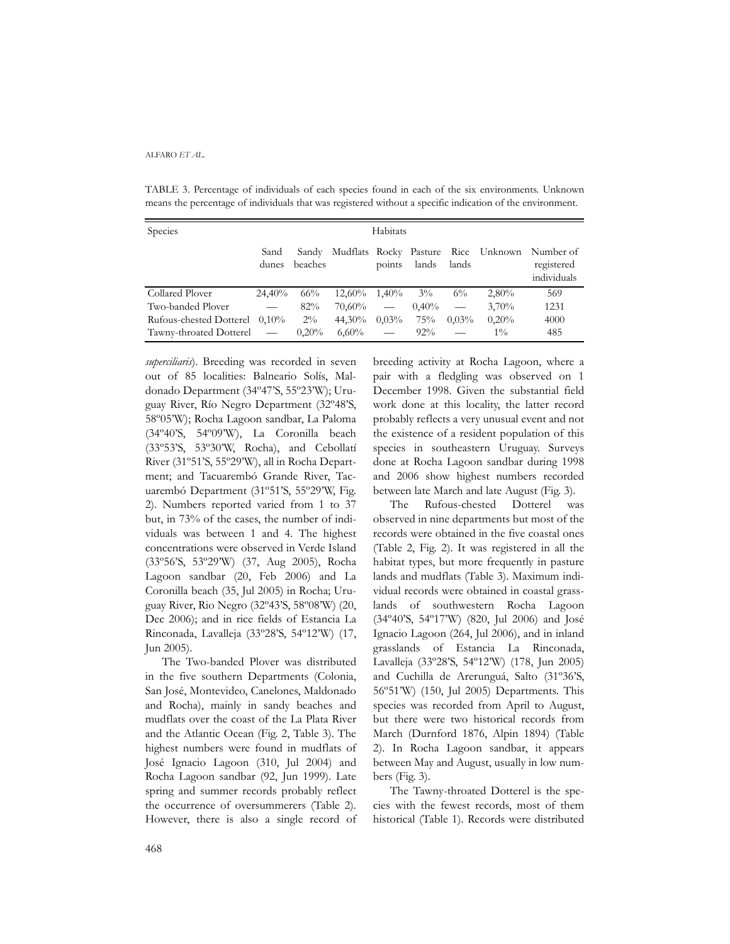#### ALFARO *ET AL.*

TABLE 3. Percentage of individuals of each species found in each of the six environments. Unknown means the percentage of individuals that was registered without a specific indication of the environment.

| Species                 | Habitats                      |                  |           |                          |          |          |                                     |                                        |
|-------------------------|-------------------------------|------------------|-----------|--------------------------|----------|----------|-------------------------------------|----------------------------------------|
|                         | Sand<br>dunes                 | Sandy<br>beaches |           | points                   | lands    | lands    | Mudflats Rocky Pasture Rice Unknown | Number of<br>registered<br>individuals |
| Collared Plover         | $24.40\%$                     | $66\%$           | $12.60\%$ | $1.40\%$                 | $3\%$    | $6\%$    | $2,80\%$                            | 569                                    |
| Two-banded Plover       | $\overbrace{\phantom{aaaaa}}$ | 82%              | 70.60%    | $\overline{\phantom{m}}$ | $0.40\%$ | $\equiv$ | 3,70%                               | 1231                                   |
| Rufous-chested Dotterel | $0.10\%$                      | $2\%$            | 44.30%    | $0.03\%$                 | 75%      | $0.03\%$ | 0,20%                               | 4000                                   |
| Tawny-throated Dotterel |                               | 0.20%            | $6,60\%$  | $\overline{\phantom{m}}$ | $92\%$   |          | $1\%$                               | 485                                    |

*superciliaris*). Breeding was recorded in seven out of 85 localities: Balneario Solís, Maldonado Department (34º47'S, 55º23'W); Uruguay River, Río Negro Department (32º48'S, 58º05'W); Rocha Lagoon sandbar, La Paloma (34º40'S, 54º09'W), La Coronilla beach (33º53'S, 53º30'W, Rocha), and Cebollatí River (31º51'S, 55º29'W), all in Rocha Department; and Tacuarembó Grande River, Tacuarembó Department (31º51'S, 55º29'W, Fig. 2). Numbers reported varied from 1 to 37 but, in 73% of the cases, the number of individuals was between 1 and 4. The highest concentrations were observed in Verde Island (33º56'S, 53º29'W) (37, Aug 2005), Rocha Lagoon sandbar (20, Feb 2006) and La Coronilla beach (35, Jul 2005) in Rocha; Uruguay River, Rio Negro (32º43'S, 58º08'W) (20, Dec 2006); and in rice fields of Estancia La Rinconada, Lavalleja (33º28'S, 54º12'W) (17, Jun 2005).

The Two-banded Plover was distributed in the five southern Departments (Colonia, San José, Montevideo, Canelones, Maldonado and Rocha), mainly in sandy beaches and mudflats over the coast of the La Plata River and the Atlantic Ocean (Fig. 2, Table 3). The highest numbers were found in mudflats of José Ignacio Lagoon (310, Jul 2004) and Rocha Lagoon sandbar (92, Jun 1999). Late spring and summer records probably reflect the occurrence of oversummerers (Table 2). However, there is also a single record of breeding activity at Rocha Lagoon, where a pair with a fledgling was observed on 1 December 1998. Given the substantial field work done at this locality, the latter record probably reflects a very unusual event and not the existence of a resident population of this species in southeastern Uruguay. Surveys done at Rocha Lagoon sandbar during 1998 and 2006 show highest numbers recorded between late March and late August (Fig. 3).

The Rufous-chested Dotterel was observed in nine departments but most of the records were obtained in the five coastal ones (Table 2, Fig. 2). It was registered in all the habitat types, but more frequently in pasture lands and mudflats (Table 3). Maximum individual records were obtained in coastal grasslands of southwestern Rocha Lagoon (34º40'S, 54º17'W) (820, Jul 2006) and José Ignacio Lagoon (264, Jul 2006), and in inland grasslands of Estancia La Rinconada, Lavalleja (33º28'S, 54º12'W) (178, Jun 2005) and Cuchilla de Arerunguá, Salto (31º36'S, 56º51'W) (150, Jul 2005) Departments. This species was recorded from April to August, but there were two historical records from March (Durnford 1876, Alpin 1894) (Table 2). In Rocha Lagoon sandbar, it appears between May and August, usually in low numbers (Fig. 3).

The Tawny-throated Dotterel is the species with the fewest records, most of them historical (Table 1). Records were distributed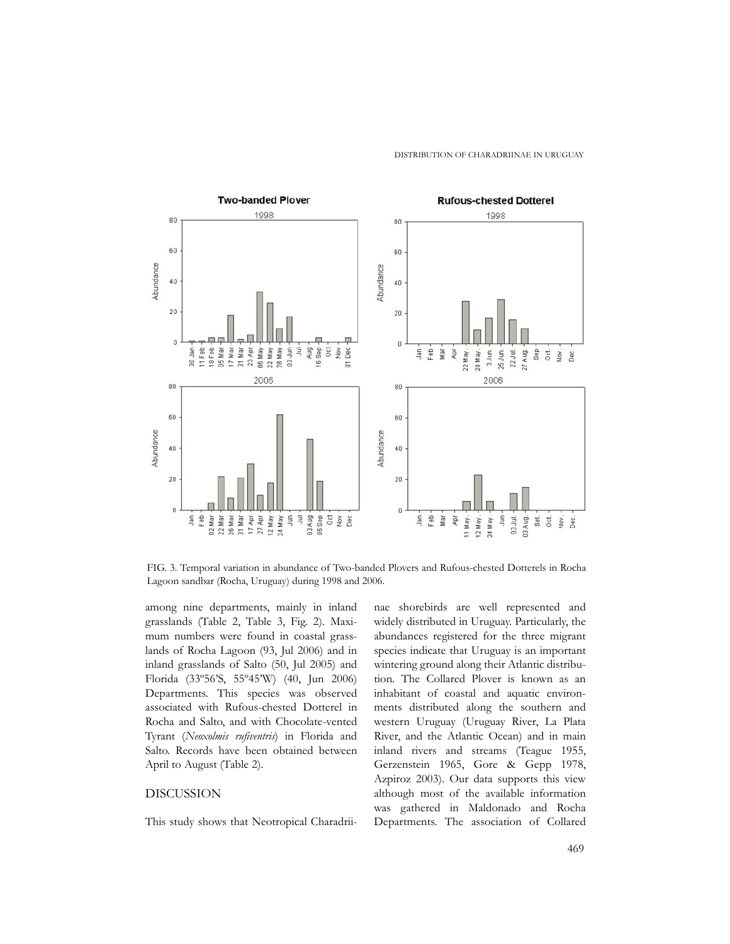

FIG. 3. Temporal variation in abundance of Two-banded Plovers and Rufous-chested Dotterels in Rocha Lagoon sandbar (Rocha, Uruguay) during 1998 and 2006.

among nine departments, mainly in inland grasslands (Table 2, Table 3, Fig. 2). Maximum numbers were found in coastal grasslands of Rocha Lagoon (93, Jul 2006) and in inland grasslands of Salto (50, Jul 2005) and Florida (33º56'S, 55º45'W) (40, Jun 2006) Departments. This species was observed associated with Rufous-chested Dotterel in Rocha and Salto, and with Chocolate-vented Tyrant (*Neoxolmis rufiventris*) in Florida and Salto. Records have been obtained between April to August (Table 2).

## DISCUSSION

This study shows that Neotropical Charadrii-

nae shorebirds are well represented and widely distributed in Uruguay. Particularly, the abundances registered for the three migrant species indicate that Uruguay is an important wintering ground along their Atlantic distribution. The Collared Plover is known as an inhabitant of coastal and aquatic environments distributed along the southern and western Uruguay (Uruguay River, La Plata River, and the Atlantic Ocean) and in main inland rivers and streams (Teague 1955, Gerzenstein 1965, Gore & Gepp 1978, Azpiroz 2003). Our data supports this view although most of the available information was gathered in Maldonado and Rocha Departments. The association of Collared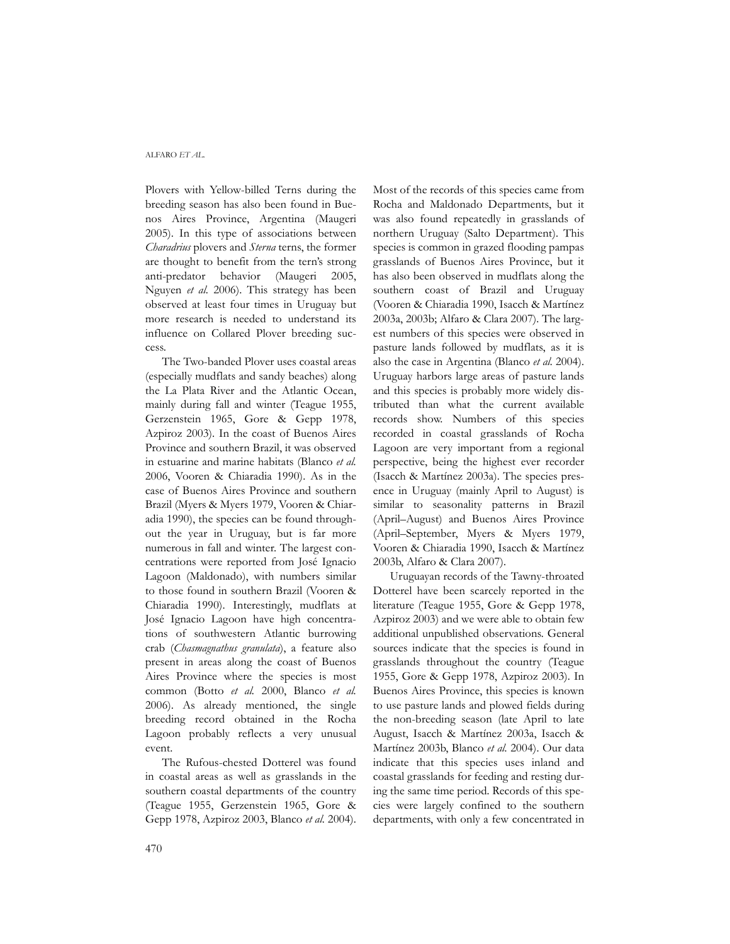#### ALFARO *ET AL.*

Plovers with Yellow-billed Terns during the breeding season has also been found in Buenos Aires Province, Argentina (Maugeri 2005). In this type of associations between *Charadrius* plovers and *Sterna* terns, the former are thought to benefit from the tern's strong anti-predator behavior (Maugeri 2005, Nguyen *et al.* 2006). This strategy has been observed at least four times in Uruguay but more research is needed to understand its influence on Collared Plover breeding success.

The Two-banded Plover uses coastal areas (especially mudflats and sandy beaches) along the La Plata River and the Atlantic Ocean, mainly during fall and winter (Teague 1955, Gerzenstein 1965, Gore & Gepp 1978, Azpiroz 2003). In the coast of Buenos Aires Province and southern Brazil, it was observed in estuarine and marine habitats (Blanco *et al.* 2006, Vooren & Chiaradia 1990). As in the case of Buenos Aires Province and southern Brazil (Myers & Myers 1979, Vooren & Chiaradia 1990), the species can be found throughout the year in Uruguay, but is far more numerous in fall and winter. The largest concentrations were reported from José Ignacio Lagoon (Maldonado), with numbers similar to those found in southern Brazil (Vooren & Chiaradia 1990). Interestingly, mudflats at José Ignacio Lagoon have high concentrations of southwestern Atlantic burrowing crab (*Chasmagnathus granulata*), a feature also present in areas along the coast of Buenos Aires Province where the species is most common (Botto *et al.* 2000, Blanco *et al.* 2006). As already mentioned, the single breeding record obtained in the Rocha Lagoon probably reflects a very unusual event.

The Rufous-chested Dotterel was found in coastal areas as well as grasslands in the southern coastal departments of the country (Teague 1955, Gerzenstein 1965, Gore & Gepp 1978, Azpiroz 2003, Blanco *et al.* 2004). Most of the records of this species came from Rocha and Maldonado Departments, but it was also found repeatedly in grasslands of northern Uruguay (Salto Department). This species is common in grazed flooding pampas grasslands of Buenos Aires Province, but it has also been observed in mudflats along the southern coast of Brazil and Uruguay (Vooren & Chiaradia 1990, Isacch & Martínez 2003a, 2003b; Alfaro & Clara 2007). The largest numbers of this species were observed in pasture lands followed by mudflats, as it is also the case in Argentina (Blanco *et al.* 2004). Uruguay harbors large areas of pasture lands and this species is probably more widely distributed than what the current available records show. Numbers of this species recorded in coastal grasslands of Rocha Lagoon are very important from a regional perspective, being the highest ever recorder (Isacch & Martínez 2003a). The species presence in Uruguay (mainly April to August) is similar to seasonality patterns in Brazil (April–August) and Buenos Aires Province (April–September, Myers & Myers 1979, Vooren & Chiaradia 1990, Isacch & Martínez 2003b, Alfaro & Clara 2007).

Uruguayan records of the Tawny-throated Dotterel have been scarcely reported in the literature (Teague 1955, Gore & Gepp 1978, Azpiroz 2003) and we were able to obtain few additional unpublished observations. General sources indicate that the species is found in grasslands throughout the country (Teague 1955, Gore & Gepp 1978, Azpiroz 2003). In Buenos Aires Province, this species is known to use pasture lands and plowed fields during the non-breeding season (late April to late August, Isacch & Martínez 2003a, Isacch & Martínez 2003b, Blanco *et al.* 2004). Our data indicate that this species uses inland and coastal grasslands for feeding and resting during the same time period. Records of this species were largely confined to the southern departments, with only a few concentrated in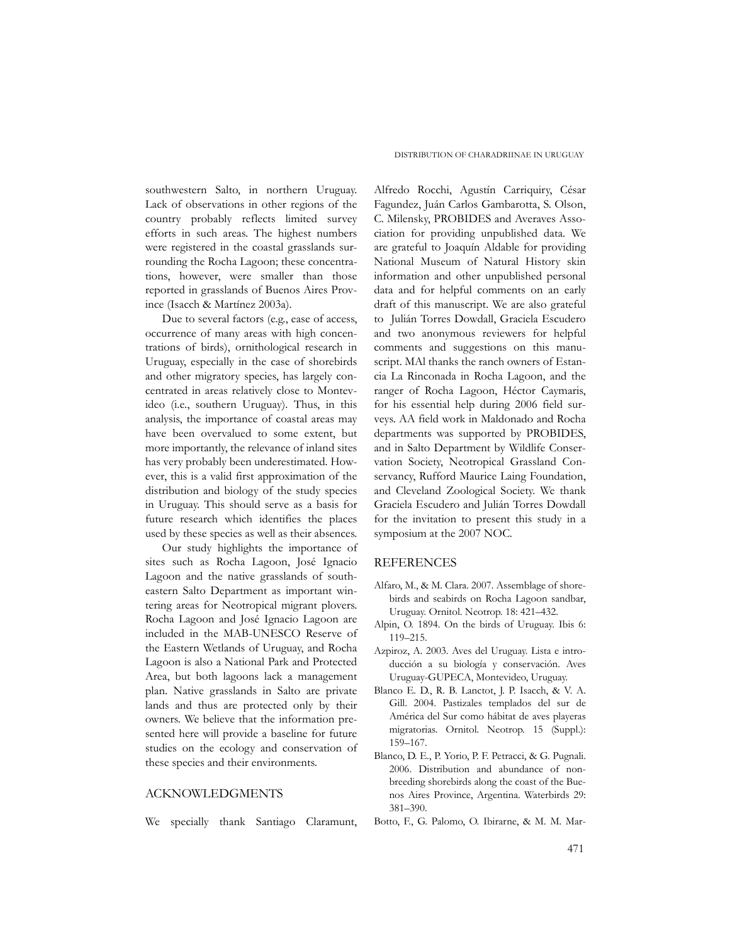southwestern Salto, in northern Uruguay. Lack of observations in other regions of the country probably reflects limited survey efforts in such areas. The highest numbers were registered in the coastal grasslands surrounding the Rocha Lagoon; these concentrations, however, were smaller than those reported in grasslands of Buenos Aires Province (Isacch & Martínez 2003a).

Due to several factors (e.g., ease of access, occurrence of many areas with high concentrations of birds), ornithological research in Uruguay, especially in the case of shorebirds and other migratory species, has largely concentrated in areas relatively close to Montevideo (i.e., southern Uruguay). Thus, in this analysis, the importance of coastal areas may have been overvalued to some extent, but more importantly, the relevance of inland sites has very probably been underestimated. However, this is a valid first approximation of the distribution and biology of the study species in Uruguay. This should serve as a basis for future research which identifies the places used by these species as well as their absences.

Our study highlights the importance of sites such as Rocha Lagoon, José Ignacio Lagoon and the native grasslands of southeastern Salto Department as important wintering areas for Neotropical migrant plovers. Rocha Lagoon and José Ignacio Lagoon are included in the MAB-UNESCO Reserve of the Eastern Wetlands of Uruguay, and Rocha Lagoon is also a National Park and Protected Area, but both lagoons lack a management plan. Native grasslands in Salto are private lands and thus are protected only by their owners. We believe that the information presented here will provide a baseline for future studies on the ecology and conservation of these species and their environments.

## ACKNOWLEDGMENTS

We specially thank Santiago Claramunt,

Alfredo Rocchi, Agustín Carriquiry, César Fagundez, Juán Carlos Gambarotta, S. Olson, C. Milensky, PROBIDES and Averaves Association for providing unpublished data. We are grateful to Joaquín Aldable for providing National Museum of Natural History skin information and other unpublished personal data and for helpful comments on an early draft of this manuscript. We are also grateful to Julián Torres Dowdall, Graciela Escudero and two anonymous reviewers for helpful comments and suggestions on this manuscript. MAl thanks the ranch owners of Estancia La Rinconada in Rocha Lagoon, and the ranger of Rocha Lagoon, Héctor Caymaris, for his essential help during 2006 field surveys. AA field work in Maldonado and Rocha departments was supported by PROBIDES, and in Salto Department by Wildlife Conservation Society, Neotropical Grassland Conservancy, Rufford Maurice Laing Foundation, and Cleveland Zoological Society. We thank Graciela Escudero and Julián Torres Dowdall for the invitation to present this study in a symposium at the 2007 NOC.

#### REFERENCES

- Alfaro, M., & M. Clara. 2007. Assemblage of shorebirds and seabirds on Rocha Lagoon sandbar, Uruguay. Ornitol. Neotrop. 18: 421–432.
- Alpin, O. 1894. On the birds of Uruguay. Ibis 6: 119–215.
- Azpiroz, A. 2003. Aves del Uruguay. Lista e introducción a su biología y conservación. Aves Uruguay-GUPECA, Montevideo, Uruguay.
- Blanco E. D., R. B. Lanctot, J. P. Isacch, & V. A. Gill. 2004. Pastizales templados del sur de América del Sur como hábitat de aves playeras migratorias. Ornitol. Neotrop. 15 (Suppl.): 159–167.
- Blanco, D. E., P. Yorio, P. F. Petracci, & G. Pugnali. 2006. Distribution and abundance of nonbreeding shorebirds along the coast of the Buenos Aires Province, Argentina. Waterbirds 29: 381–390.
- Botto, F., G. Palomo, O. Ibirarne, & M. M. Mar-